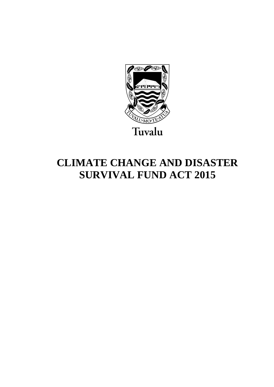

# **CLIMATE CHANGE AND DISASTER SURVIVAL FUND ACT 2015**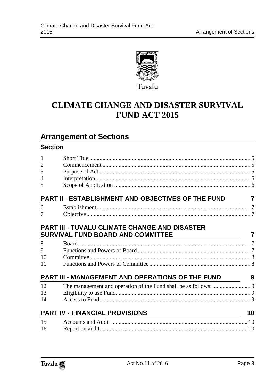

## **CLIMATE CHANGE AND DISASTER SURVIVAL FUND ACT 2015**

## **Arrangement of Sections**

### **Section**

| $\mathbf{1}$                                                                                     |    |
|--------------------------------------------------------------------------------------------------|----|
| $\overline{2}$                                                                                   |    |
| 3                                                                                                |    |
| 4                                                                                                |    |
| 5                                                                                                |    |
| PART II - ESTABLISHMENT AND OBJECTIVES OF THE FUND                                               | 7  |
| 6                                                                                                |    |
| 7                                                                                                |    |
| <b>PART III - TUVALU CLIMATE CHANGE AND DISASTER</b><br><b>SURVIVAL FUND BOARD AND COMMITTEE</b> | 7  |
| <u> 1989 - Johann Barbara, martxa alemaniar a</u><br>8                                           |    |
| 9                                                                                                |    |
| 10                                                                                               |    |
| 11                                                                                               |    |
| PART III - MANAGEMENT AND OPERATIONS OF THE FUND                                                 | 9  |
| 12                                                                                               |    |
| 13                                                                                               |    |
| 14                                                                                               |    |
| <b>PART IV - FINANCIAL PROVISIONS</b>                                                            | 10 |
| 15                                                                                               |    |
| 16                                                                                               |    |

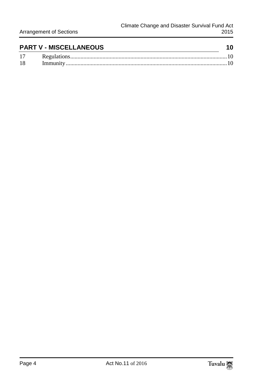|    | <b>PART V - MISCELLANEOUS</b> |  |
|----|-------------------------------|--|
| 17 |                               |  |

18 [Immunity..............................................................................................................10](#page-9-5)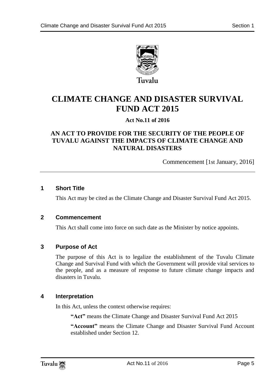

**CLIMATE CHANGE AND DISASTER SURVIVAL FUND ACT 2015**

#### **Act No.11 of 2016**

#### **AN ACT TO PROVIDE FOR THE SECURITY OF THE PEOPLE OF TUVALU AGAINST THE IMPACTS OF CLIMATE CHANGE AND NATURAL DISASTERS**

Commencement [1st January, 2016]

#### <span id="page-4-0"></span>**1 Short Title**

This Act may be cited as the Climate Change and Disaster Survival Fund Act 2015.

#### <span id="page-4-1"></span>**2 Commencement**

This Act shall come into force on such date as the Minister by notice appoints.

#### <span id="page-4-2"></span>**3 Purpose of Act**

The purpose of this Act is to legalize the establishment of the Tuvalu Climate Change and Survival Fund with which the Government will provide vital services to the people, and as a measure of response to future climate change impacts and disasters in Tuvalu.

#### <span id="page-4-3"></span>**4 Interpretation**

In this Act, unless the context otherwise requires:

**"Act"** means the Climate Change and Disaster Survival Fund Act 2015

**"Account"** means the Climate Change and Disaster Survival Fund Account established under Section 12.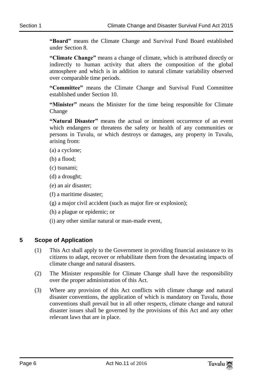**"Board"** means the Climate Change and Survival Fund Board established under Section 8.

**"Climate Change"** means a change of climate, which is attributed directly or indirectly to human activity that alters the composition of the global atmosphere and which is in addition to natural climate variability observed over comparable time periods.

**"Committee"** means the Climate Change and Survival Fund Committee established under Section 10.

**"Minister"** means the Minister for the time being responsible for Climate Change

**"Natural Disaster"** means the actual or imminent occurrence of an event which endangers or threatens the safety or health of any communities or persons in Tuvalu, or which destroys or damages, any property in Tuvalu, arising from:

- (a) a cyclone;
- (b) a flood;
- (c) tsunami;
- (d) a drought;
- (e) an air disaster;
- (f) a maritime disaster;
- (g) a major civil accident (such as major fire or explosion);
- (h) a plague or epidemic; or
- (i) any other similar natural or man-made event,

#### <span id="page-5-0"></span>**5 Scope of Application**

- (1) This Act shall apply to the Government in providing financial assistance to its citizens to adapt, recover or rehabilitate them from the devastating impacts of climate change and natural disasters.
- (2) The Minister responsible for Climate Change shall have the responsibility over the proper administration of this Act.
- (3) Where any provision of this Act conflicts with climate change and natural disaster conventions, the application of which is mandatory on Tuvalu, those conventions shall prevail but in all other respects, climate change and natural disaster issues shall be governed by the provisions of this Act and any other relevant laws that are in place.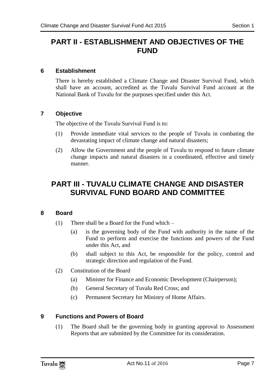## <span id="page-6-0"></span>**PART II - ESTABLISHMENT AND OBJECTIVES OF THE FUND**

#### <span id="page-6-1"></span>**6 Establishment**

There is hereby established a Climate Change and Disaster Survival Fund, which shall have an account, accredited as the Tuvalu Survival Fund account at the National Bank of Tuvalu for the purposes specified under this Act.

#### <span id="page-6-2"></span>**7 Objective**

The objective of the Tuvalu Survival Fund is to:

- (1) Provide immediate vital services to the people of Tuvalu in combating the devastating impact of climate change and natural disasters;
- (2) Allow the Government and the people of Tuvalu to respond to future climate change impacts and natural disasters in a coordinated, effective and timely manner.

## <span id="page-6-3"></span>**PART III - TUVALU CLIMATE CHANGE AND DISASTER SURVIVAL FUND BOARD AND COMMITTEE**

#### <span id="page-6-4"></span>**8 Board**

- (1) There shall be a Board for the Fund which
	- (a) is the governing body of the Fund with authority in the name of the Fund to perform and exercise the functions and powers of the Fund under this Act, and
	- (b) shall subject to this Act, be responsible for the policy, control and strategic direction and regulation of the Fund.
- (2) Constitution of the Board
	- (a) Minister for Finance and Economic Development (Chairperson);
	- (b) General Secretary of Tuvalu Red Cross; and
	- (c) Permanent Secretary for Ministry of Home Affairs.

#### <span id="page-6-5"></span>**9 Functions and Powers of Board**

(1) The Board shall be the governing body in granting approval to Assessment Reports that are submitted by the Committee for its consideration.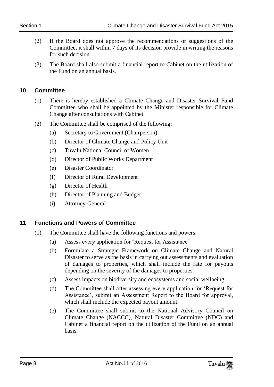- (2) If the Board does not approve the recommendations or suggestions of the Committee, it shall within 7 days of its decision provide in writing the reasons for such decision.
- (3) The Board shall also submit a financial report to Cabinet on the utilization of the Fund on an annual basis.

#### <span id="page-7-0"></span>**10 Committee**

- (1) There is hereby established a Climate Change and Disaster Survival Fund Committee who shall be appointed by the Minister responsible for Climate Change after consultations with Cabinet.
- (2) The Committee shall be comprised of the following:
	- (a) Secretary to Government (Chairperson)
	- (b) Director of Climate Change and Policy Unit
	- (c) Tuvalu National Council of Women
	- (d) Director of Public Works Department
	- (e) Disaster Coordinator
	- (f) Director of Rural Development
	- (g) Director of Health
	- (h) Director of Planning and Budget
	- (i) Attorney-General

#### <span id="page-7-1"></span>**11 Functions and Powers of Committee**

- (1) The Committee shall have the following functions and powers:
	- (a) Assess every application for 'Request for Assistance'
	- (b) Formulate a Strategic Framework on Climate Change and Natural Disaster to serve as the basis in carrying out assessments and evaluation of damages to properties, which shall include the rate for payouts depending on the severity of the damages to properties.
	- (c) Assess impacts on biodiversity and ecosystems and social wellbeing
	- (d) The Committee shall after assessing every application for 'Request for Assistance', submit an Assessment Report to the Board for approval, which shall include the expected payout amount.
	- (e) The Committee shall submit to the National Advisory Council on Climate Change (NACCC), Natural Disaster Committee (NDC) and Cabinet a financial report on the utilization of the Fund on an annual basis.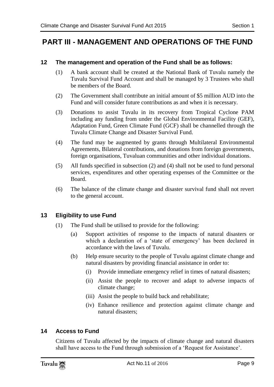## <span id="page-8-0"></span>**PART III - MANAGEMENT AND OPERATIONS OF THE FUND**

#### <span id="page-8-1"></span>**12 The management and operation of the Fund shall be as follows:**

- (1) A bank account shall be created at the National Bank of Tuvalu namely the Tuvalu Survival Fund Account and shall be managed by 3 Trustees who shall be members of the Board.
- (2) The Government shall contribute an initial amount of \$5 million AUD into the Fund and will consider future contributions as and when it is necessary.
- (3) Donations to assist Tuvalu in its recovery from Tropical Cyclone PAM including any funding from under the Global Environmental Facility (GEF), Adaptation Fund, Green Climate Fund (GCF) shall be channelled through the Tuvalu Climate Change and Disaster Survival Fund.
- (4) The fund may be augmented by grants through Multilateral Environmental Agreements, Bilateral contributions, and donations from foreign governments, foreign organisations, Tuvaluan communities and other individual donations.
- (5) All funds specified in subsection (2) and (4) shall not be used to fund personal services, expenditures and other operating expenses of the Committee or the Board.
- (6) The balance of the climate change and disaster survival fund shall not revert to the general account.

#### <span id="page-8-2"></span>**13 Eligibility to use Fund**

- (1) The Fund shall be utilised to provide for the following:
	- (a) Support activities of response to the impacts of natural disasters or which a declaration of a 'state of emergency' has been declared in accordance with the laws of Tuvalu.
	- (b) Help ensure security to the people of Tuvalu against climate change and natural disasters by providing financial assistance in order to:
		- (i) Provide immediate emergency relief in times of natural disasters;
		- (ii) Assist the people to recover and adapt to adverse impacts of climate change;
		- (iii) Assist the people to build back and rehabilitate;
		- (iv) Enhance resilience and protection against climate change and natural disasters;

#### <span id="page-8-3"></span>**14 Access to Fund**

Citizens of Tuvalu affected by the impacts of climate change and natural disasters shall have access to the Fund through submission of a 'Request for Assistance'.